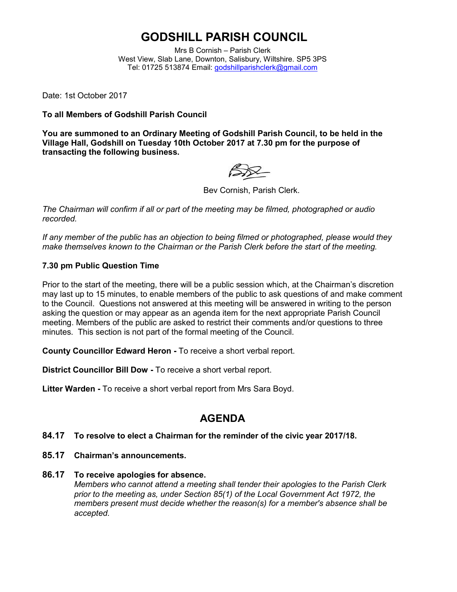# **GODSHILL PARISH COUNCIL**

Mrs B Cornish – Parish Clerk West View, Slab Lane, Downton, Salisbury, Wiltshire. SP5 3PS Tel: 01725 513874 Email: [godshillparishclerk@gmail.com](mailto:godshillparishclerk@gmail.com)

Date: 1st October 2017

**To all Members of Godshill Parish Council**

**You are summoned to an Ordinary Meeting of Godshill Parish Council, to be held in the Village Hall, Godshill on Tuesday 10th October 2017 at 7.30 pm for the purpose of transacting the following business.**

Bev Cornish, Parish Clerk.

*The Chairman will confirm if all or part of the meeting may be filmed, photographed or audio recorded.*

*If any member of the public has an objection to being filmed or photographed, please would they make themselves known to the Chairman or the Parish Clerk before the start of the meeting.*

#### **7.30 pm Public Question Time**

Prior to the start of the meeting, there will be a public session which, at the Chairman's discretion may last up to 15 minutes, to enable members of the public to ask questions of and make comment to the Council. Questions not answered at this meeting will be answered in writing to the person asking the question or may appear as an agenda item for the next appropriate Parish Council meeting. Members of the public are asked to restrict their comments and/or questions to three minutes. This section is not part of the formal meeting of the Council.

**County Councillor Edward Heron -** To receive a short verbal report.

**District Councillor Bill Dow -** To receive a short verbal report.

**Litter Warden -** To receive a short verbal report from Mrs Sara Boyd.

## **AGENDA**

#### **84.17 To resolve to elect a Chairman for the reminder of the civic year 2017/18.**

- **85.17 Chairman's announcements.**
- **86.17 To receive apologies for absence.** *Members who cannot attend a meeting shall tender their apologies to the Parish Clerk prior to the meeting as, under Section 85(1) of the Local Government Act 1972, the members present must decide whether the reason(s) for a member's absence shall be accepted.*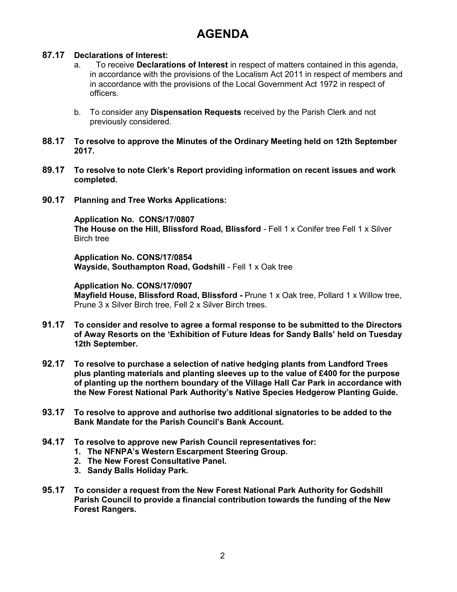# **AGENDA**

### **87.17 Declarations of Interest:**

- a. To receive **Declarations of Interest** in respect of matters contained in this agenda, in accordance with the provisions of the Localism Act 2011 in respect of members and in accordance with the provisions of the Local Government Act 1972 in respect of officers.
- b. To consider any **Dispensation Requests** received by the Parish Clerk and not previously considered.
- **88.17 To resolve to approve the Minutes of the Ordinary Meeting held on 12th September 2017.**
- **89.17 To resolve to note Clerk's Report providing information on recent issues and work completed.**
- **90.17 Planning and Tree Works Applications:**

**Application No. CONS/17/0807 The House on the Hill, Blissford Road, Blissford** - Fell 1 x Conifer tree Fell 1 x Silver Birch tree

**Application No. CONS/17/0854 Wayside, Southampton Road, Godshill** - Fell 1 x Oak tree

**Application No. CONS/17/0907 Mayfield House, Blissford Road, Blissford -** Prune 1 x Oak tree, Pollard 1 x Willow tree, Prune 3 x Silver Birch tree, Fell 2 x Silver Birch trees.

- **91.17 To consider and resolve to agree a formal response to be submitted to the Directors of Away Resorts on the 'Exhibition of Future Ideas for Sandy Balls' held on Tuesday 12th September.**
- **92.17 To resolve to purchase a selection of native hedging plants from Landford Trees plus planting materials and planting sleeves up to the value of £400 for the purpose of planting up the northern boundary of the Village Hall Car Park in accordance with the New Forest National Park Authority's Native Species Hedgerow Planting Guide.**
- **93.17 To resolve to approve and authorise two additional signatories to be added to the Bank Mandate for the Parish Council's Bank Account.**
- **94.17 To resolve to approve new Parish Council representatives for:**
	- **1. The NFNPA's Western Escarpment Steering Group.**
	- **2. The New Forest Consultative Panel.**
	- **3. Sandy Balls Holiday Park.**
- **95.17 To consider a request from the New Forest National Park Authority for Godshill Parish Council to provide a financial contribution towards the funding of the New Forest Rangers.**